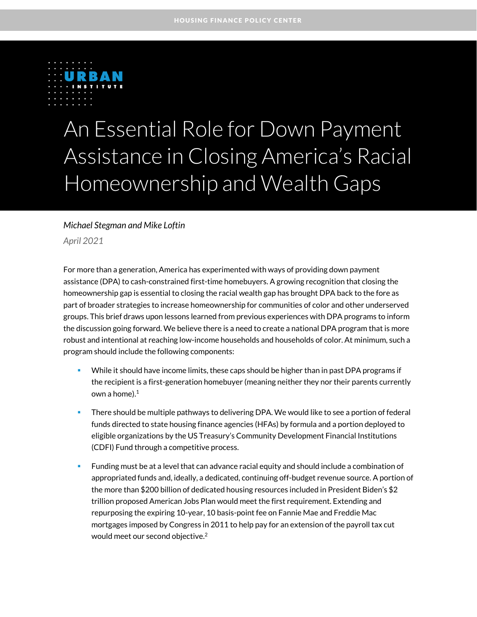

# An Essential Role for Down Payment Assistance in Closing America's Racial Homeownership and Wealth Gaps

#### *Michael Stegman and Mike Loftin*

*April 2021*

For more than a generation, America has experimented with ways of providing down payment assistance (DPA) to cash-constrained first-time homebuyers. A growing recognition that closing the homeownership gap is essential to closing the racial wealth gap has brought DPA back to the fore as part of broader strategies to increase homeownership for communities of color and other underserved groups. This brief draws upon lessons learned from previous experiences with DPA programs to inform the discussion going forward. We believe there is a need to create a national DPA program that is more robust and intentional at reaching low-income households and households of color. At minimum, such a program should include the following components:

- **•** While it should have income limits, these caps should be higher than in past DPA programs if the recipient is a first-generation homebuyer (meaning neither they nor their parents currently own a home). $1$
- **•** There should be multiple pathways to delivering DPA. We would like to see a portion of federal funds directed to state housing finance agencies (HFAs) by formula and a portion deployed to eligible organizations by the US Treasury's Community Development Financial Institutions (CDFI) Fund through a competitive process.
- **E** Funding must be at a level that can advance racial equity and should include a combination of appropriated funds and, ideally, a dedicated, continuing off-budget revenue source. A portion of the more than \$200 billion of dedicated housing resources included in President Biden's \$2 trillion proposed American Jobs Plan would meet the first requirement. Extending and repurposing the expiring 10-year, 10 basis-point fee on Fannie Mae and Freddie Mac mortgages imposed by Congress in 2011 to help pay for an extension of the payroll tax cut would meet our second objective.<sup>2</sup>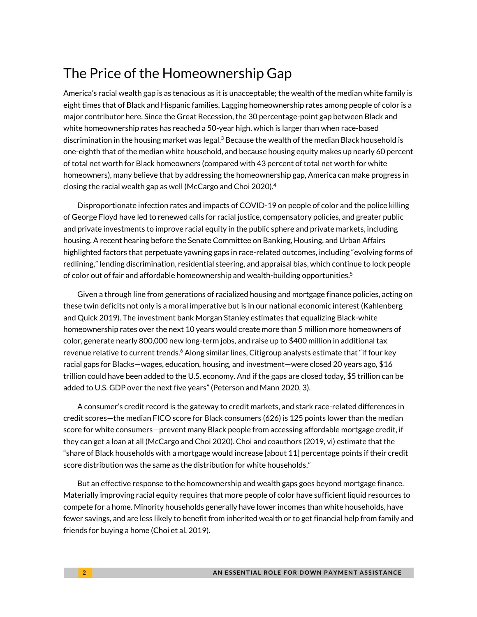# The Price of the Homeownership Gap

America's racial wealth gap is as tenacious as it is unacceptable; the wealth of the median white family is eight times that of Black and Hispanic families. Lagging homeownership rates among people of color is a major contributor here. Since the Great Recession, the 30 percentage-point gap between Black and white homeownership rates has reached a 50-year high, which is larger than when race-based discrimination in the housing market was legal. $^3$  Because the wealth of the median Black household is one-eighth that of the median white household, and because housing equity makes up nearly 60 percent of total net worth for Black homeowners (compared with 43 percent of total net worth for white homeowners), many believe that by addressing the homeownership gap, America can make progress in closing the racial wealth gap as well (McCargo and Choi 2020). 4

Disproportionate infection rates and impacts of COVID-19 on people of color and the police killing of George Floyd have led to renewed calls for racial justice, compensatory policies, and greater public and private investments to improve racial equity in the public sphere and private markets, including housing. A recent hearing before the Senate Committee on Banking, Housing, and Urban Affairs highlighted factors that perpetuate yawning gaps in race-related outcomes, including "evolving forms of redlining," lending discrimination, residential steering, and appraisal bias, which continue to lock people of color out of fair and affordable homeownership and wealth-building opportunities.<sup>5</sup>

Given a through line from generations of racialized housing and mortgage finance policies, acting on these twin deficits not only is a moral imperative but is in our national economic interest (Kahlenberg and Quick 2019). The investment bank Morgan Stanley estimates that equalizing Black-white homeownership rates over the next 10 years would create more than 5 million more homeowners of color, generate nearly 800,000 new long-term jobs, and raise up to \$400 million in additional tax revenue relative to current trends.<sup>6</sup> Along similar lines, Citigroup analysts estimate that "if four key racial gaps for Blacks—wages, education, housing, and investment—were closed 20 years ago, \$16 trillion could have been added to the U.S. economy. And if the gaps are closed today, \$5 trillion can be added to U.S. GDP over the next five years" (Peterson and Mann 2020, 3).

A consumer's credit record is the gateway to credit markets, and stark race-related differences in credit scores—the median FICO score for Black consumers (626) is 125 points lower than the median score for white consumers—prevent many Black people from accessing affordable mortgage credit, if they can get a loan at all (McCargo and Choi 2020). Choi and coauthors (2019, vi) estimate that the "share of Black households with a mortgage would increase [about 11] percentage points if their credit score distribution was the same as the distribution for white households."

But an effective response to the homeownership and wealth gaps goes beyond mortgage finance. Materially improving racial equity requires that more people of color have sufficient liquid resources to compete for a home. Minority households generally have lower incomes than white households, have fewer savings, and are less likely to benefit from inherited wealth or to get financial help from family and friends for buying a home (Choi et al. 2019).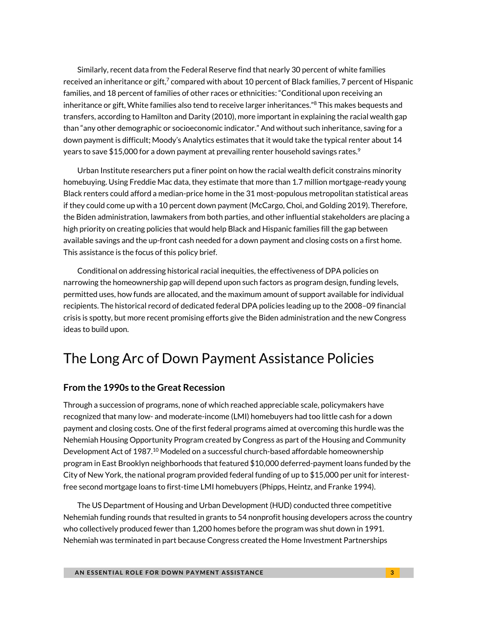Similarly, recent data from the Federal Reserve find that nearly 30 percent of white families received an inheritance or gift,<sup>7</sup> compared with about 10 percent of Black families, 7 percent of Hispanic families, and 18 percent of families of other races or ethnicities: "Conditional upon receiving an inheritance or gift, White families also tend to receive larger inheritances."<sup>8</sup> This makes bequests and transfers, according to Hamilton and Darity (2010), more important in explaining the racial wealth gap than "any other demographic or socioeconomic indicator." And without such inheritance, saving for a down payment is difficult; Moody's Analytics estimates that it would take the typical renter about 14 years to save \$15,000 for a down payment at prevailing renter household savings rates.<sup>9</sup>

Urban Institute researchers put a finer point on how the racial wealth deficit constrains minority homebuying. Using Freddie Mac data, they estimate that more than 1.7 million mortgage-ready young Black renters could afford a median-price home in the 31 most-populous metropolitan statistical areas if they could come up with a 10 percent down payment (McCargo, Choi, and Golding 2019). Therefore, the Biden administration, lawmakers from both parties, and other influential stakeholders are placing a high priority on creating policies that would help Black and Hispanic families fill the gap between available savings and the up-front cash needed for a down payment and closing costs on a first home. This assistance is the focus of this policy brief.

Conditional on addressing historical racial inequities, the effectiveness of DPA policies on narrowing the homeownership gap will depend upon such factors as program design, funding levels, permitted uses, how funds are allocated, and the maximum amount of support available for individual recipients. The historical record of dedicated federal DPA policies leading up to the 2008–09 financial crisis is spotty, but more recent promising efforts give the Biden administration and the new Congress ideas to build upon.

# The Long Arc of Down Payment Assistance Policies

#### **From the 1990s to the Great Recession**

Through a succession of programs, none of which reached appreciable scale, policymakers have recognized that many low- and moderate-income (LMI) homebuyers had too little cash for a down payment and closing costs. One of the first federal programs aimed at overcoming this hurdle was the Nehemiah Housing Opportunity Program created by Congress as part of the Housing and Community Development Act of 1987.<sup>10</sup> Modeled on a successful church-based affordable homeownership program in East Brooklyn neighborhoods that featured \$10,000 deferred-payment loans funded by the City of New York, the national program provided federal funding of up to \$15,000 per unit for interestfree second mortgage loans to first-time LMI homebuyers (Phipps, Heintz, and Franke 1994).

The US Department of Housing and Urban Development (HUD) conducted three competitive Nehemiah funding rounds that resulted in grants to 54 nonprofit housing developers across the country who collectively produced fewer than 1,200 homes before the program was shut down in 1991. Nehemiah was terminated in part because Congress created the Home Investment Partnerships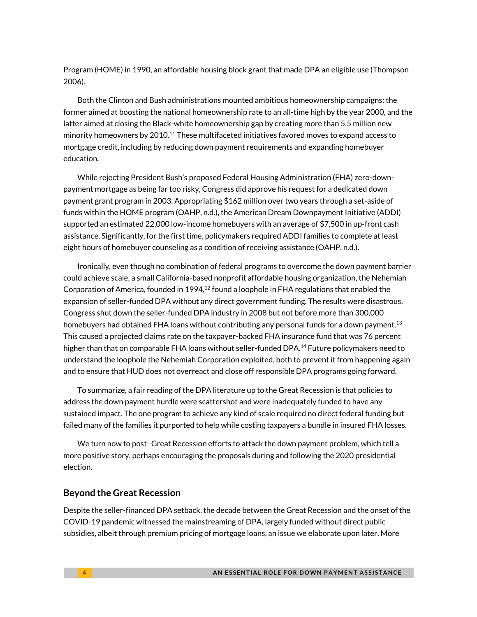Program (HOME) in 1990, an affordable housing block grant that made DPA an eligible use (Thompson 2006).

Both the Clinton and Bush administrations mounted ambitious homeownership campaigns: the former aimed at boosting the national homeownership rate to an all-time high by the year 2000, and the latter aimed at closing the Black-white homeownership gap by creating more than 5.5 million new minority homeowners by 2010. $^{11}$  These multifaceted initiatives favored moves to expand access to mortgage credit, including by reducing down payment requirements and expanding homebuyer education.

While rejecting President Bush's proposed Federal Housing Administration (FHA) zero-downpayment mortgage as being far too risky, Congress did approve his request for a dedicated down payment grant program in 2003. Appropriating \$162 million over two years through a set-aside of funds within the HOME program (OAHP, n.d.), the American Dream Downpayment Initiative (ADDI) supported an estimated 22,000 low-income homebuyers with an average of \$7,500 in up-front cash assistance. Significantly, for the first time, policymakers required ADDI families to complete at least eight hours of homebuyer counseling as a condition of receiving assistance (OAHP, n.d.).

Ironically, even though no combination of federal programs to overcome the down payment barrier could achieve scale, a small California-based nonprofit affordable housing organization, the Nehemiah Corporation of America, founded in 1994,<sup>12</sup> found a loophole in FHA regulations that enabled the expansion of seller-funded DPA without any direct government funding. The results were disastrous. Congress shut down the seller-funded DPA industry in 2008 but not before more than 300,000 homebuyers had obtained FHA loans without contributing any personal funds for a down payment. $^{13}$ This caused a projected claims rate on the taxpayer-backed FHA insurance fund that was 76 percent higher than that on comparable FHA loans without seller-funded DPA. <sup>14</sup> Future policymakers need to understand the loophole the Nehemiah Corporation exploited, both to prevent it from happening again and to ensure that HUD does not overreact and close off responsible DPA programs going forward.

To summarize, a fair reading of the DPA literature up to the Great Recession is that policies to address the down payment hurdle were scattershot and were inadequately funded to have any sustained impact. The one program to achieve any kind of scale required no direct federal funding but failed many of the families it purported to help while costing taxpayers a bundle in insured FHA losses.

We turn now to post–Great Recession efforts to attack the down payment problem, which tell a more positive story, perhaps encouraging the proposals during and following the 2020 presidential election.

#### **Beyond the Great Recession**

Despite the seller-financed DPA setback, the decade between the Great Recession and the onset of the COVID-19 pandemic witnessed the mainstreaming of DPA, largely funded without direct public subsidies, albeit through premium pricing of mortgage loans, an issue we elaborate upon later. More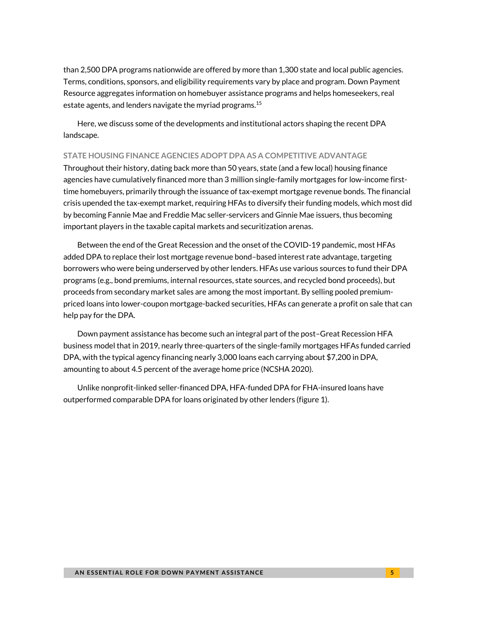than 2,500 DPA programs nationwide are offered by more than 1,300 state and local public agencies. Terms, conditions, sponsors, and eligibility requirements vary by place and program. Down Payment Resource aggregates information on homebuyer assistance programs and helps homeseekers, real estate agents, and lenders navigate the myriad programs. $^{15}$ 

Here, we discuss some of the developments and institutional actors shaping the recent DPA landscape.

#### **STATE HOUSING FINANCE AGENCIES ADOPT DPA AS A COMPETITIVE ADVANTAGE**

Throughout their history, dating back more than 50 years, state (and a few local) housing finance agencies have cumulatively financed more than 3 million single-family mortgages for low-income firsttime homebuyers, primarily through the issuance of tax-exempt mortgage revenue bonds. The financial crisis upended the tax-exempt market, requiring HFAs to diversify their funding models, which most did by becoming Fannie Mae and Freddie Mac seller-servicers and Ginnie Mae issuers, thus becoming important players in the taxable capital markets and securitization arenas.

Between the end of the Great Recession and the onset of the COVID-19 pandemic, most HFAs added DPA to replace their lost mortgage revenue bond–based interest rate advantage, targeting borrowers who were being underserved by other lenders. HFAs use various sources to fund their DPA programs (e.g., bond premiums, internal resources, state sources, and recycled bond proceeds), but proceeds from secondary market sales are among the most important. By selling pooled premiumpriced loans into lower-coupon mortgage-backed securities, HFAs can generate a profit on sale that can help pay for the DPA.

Down payment assistance has become such an integral part of the post–Great Recession HFA business model that in 2019, nearly three-quarters of the single-family mortgages HFAs funded carried DPA, with the typical agency financing nearly 3,000 loans each carrying about \$7,200 in DPA, amounting to about 4.5 percent of the average home price (NCSHA 2020).

Unlike nonprofit-linked seller-financed DPA, HFA-funded DPA for FHA-insured loans have outperformed comparable DPA for loans originated by other lenders (figure 1).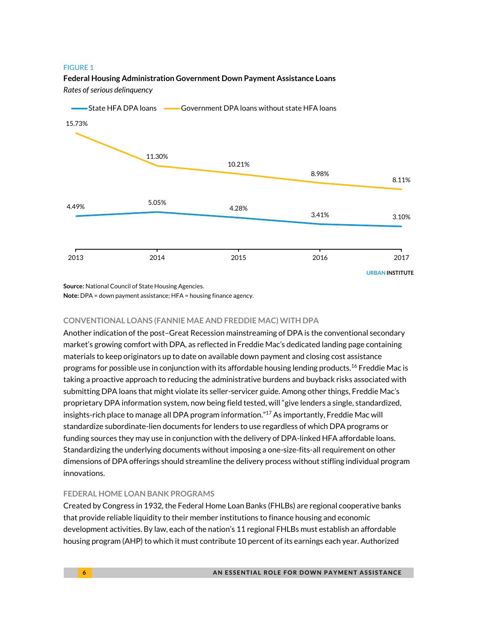#### FIGURE 1



# **Federal Housing Administration Government Down Payment Assistance Loans**

*Rates of serious delinquency*

**Source:** National Council of State Housing Agencies.

**Note:** DPA = down payment assistance; HFA = housing finance agency.

#### **CONVENTIONAL LOANS (FANNIE MAE AND FREDDIE MAC) WITH DPA**

Another indication of the post–Great Recession mainstreaming of DPA is the conventional secondary market's growing comfort with DPA, as reflected in Freddie Mac's dedicated landing page containing materials to keep originators up to date on available down payment and closing cost assistance programs for possible use in conjunction with its affordable housing lending products.<sup>16</sup> Freddie Mac is taking a proactive approach to reducing the administrative burdens and buyback risks associated with submitting DPA loans that might violate its seller-servicer guide. Among other things, Freddie Mac's proprietary DPA information system, now being field tested, will "give lenders a single, standardized, insights-rich place to manage all DPA program information."<sup>17</sup> As importantly, Freddie Mac will standardize subordinate-lien documents for lenders to use regardless of which DPA programs or funding sources they may use in conjunction with the delivery of DPA-linked HFA affordable loans. Standardizing the underlying documents without imposing a one-size-fits-all requirement on other dimensions of DPA offerings should streamline the delivery process without stifling individual program innovations.

#### **FEDERAL HOME LOAN BANK PROGRAMS**

Created by Congress in 1932, the Federal Home Loan Banks (FHLBs) are regional cooperative banks that provide reliable liquidity to their member institutions to finance housing and economic development activities. By law, each of the nation's 11 regional FHLBs must establish an affordable housing program (AHP) to which it must contribute 10 percent of its earnings each year. Authorized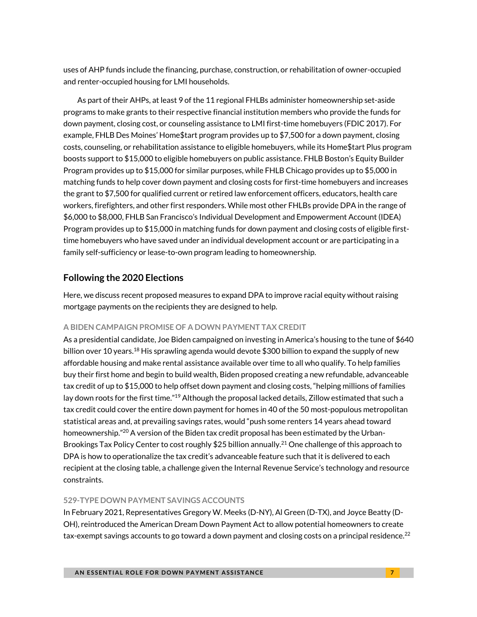uses of AHP funds include the financing, purchase, construction, or rehabilitation of owner-occupied and renter-occupied housing for LMI households.

As part of their AHPs, at least 9 of the 11 regional FHLBs administer homeownership set-aside programs to make grants to their respective financial institution members who provide the funds for down payment, closing cost, or counseling assistance to LMI first-time homebuyers (FDIC 2017). For example, FHLB Des Moines' Home\$tart program provides up to \$7,500 for a down payment, closing costs, counseling, or rehabilitation assistance to eligible homebuyers, while its Home\$tart Plus program boosts support to \$15,000 to eligible homebuyers on public assistance. FHLB Boston's Equity Builder Program provides up to \$15,000 for similar purposes, while FHLB Chicago provides up to \$5,000 in matching funds to help cover down payment and closing costs for first-time homebuyers and increases the grant to \$7,500 for qualified current or retired law enforcement officers, educators, health care workers, firefighters, and other first responders. While most other FHLBs provide DPA in the range of \$6,000 to \$8,000, FHLB San Francisco's Individual Development and Empowerment Account (IDEA) Program provides up to \$15,000 in matching funds for down payment and closing costs of eligible firsttime homebuyers who have saved under an individual development account or are participating in a family self-sufficiency or lease-to-own program leading to homeownership.

#### **Following the 2020 Elections**

Here, we discuss recent proposed measures to expand DPA to improve racial equity without raising mortgage payments on the recipients they are designed to help.

#### **A BIDEN CAMPAIGN PROMISE OF A DOWN PAYMENT TAX CREDIT**

As a presidential candidate, Joe Biden campaigned on investing in America's housing to the tune of \$640 billion over 10 years.<sup>18</sup> His sprawling agenda would devote \$300 billion to expand the supply of new affordable housing and make rental assistance available over time to all who qualify. To help families buy their first home and begin to build wealth, Biden proposed creating a new refundable, advanceable tax credit of up to \$15,000 to help offset down payment and closing costs, "helping millions of families lay down roots for the first time."<sup>19</sup> Although the proposal lacked details, Zillow estimated that such a tax credit could cover the entire down payment for homes in 40 of the 50 most-populous metropolitan statistical areas and, at prevailing savings rates, would "push some renters 14 years ahead toward homeownership."<sup>20</sup> A version of the Biden tax credit proposal has been estimated by the Urban-Brookings Tax Policy Center to cost roughly \$25 billion annually.<sup>21</sup> One challenge of this approach to DPA is how to operationalize the tax credit's advanceable feature such that it is delivered to each recipient at the closing table, a challenge given the Internal Revenue Service's technology and resource constraints.

#### **529-TYPE DOWN PAYMENT SAVINGS ACCOUNTS**

In February 2021, Representatives Gregory W. Meeks (D-NY), Al Green (D-TX), and Joyce Beatty (D-OH), reintroduced the American Dream Down Payment Act to allow potential homeowners to create tax-exempt savings accounts to go toward a down payment and closing costs on a principal residence.<sup>22</sup>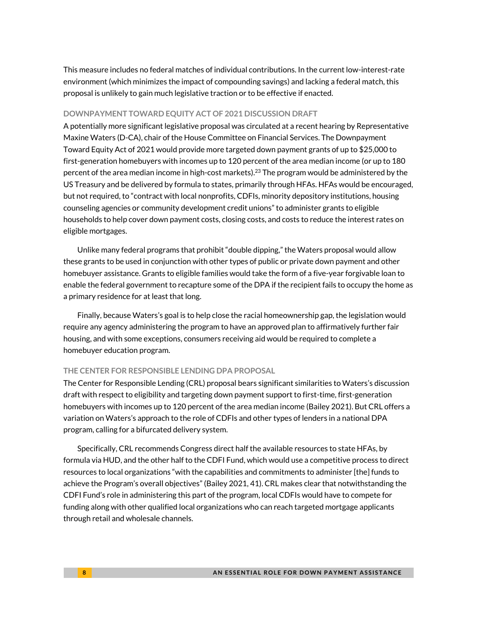This measure includes no federal matches of individual contributions. In the current low-interest-rate environment (which minimizes the impact of compounding savings) and lacking a federal match, this proposal is unlikely to gain much legislative traction or to be effective if enacted.

#### **DOWNPAYMENT TOWARD EQUITY ACT OF 2021 DISCUSSION DRAFT**

A potentially more significant legislative proposal was circulated at a recent hearing by Representative Maxine Waters (D-CA), chair of the House Committee on Financial Services. The Downpayment Toward Equity Act of 2021 would provide more targeted down payment grants of up to \$25,000 to first-generation homebuyers with incomes up to 120 percent of the area median income (or up to 180 percent of the area median income in high-cost markets). <sup>23</sup> The program would be administered by the US Treasury and be delivered by formula to states, primarily through HFAs. HFAs would be encouraged, but not required, to "contract with local nonprofits, CDFIs, minority depository institutions, housing counseling agencies or community development credit unions" to administer grants to eligible households to help cover down payment costs, closing costs, and costs to reduce the interest rates on eligible mortgages.

Unlike many federal programs that prohibit "double dipping," the Waters proposal would allow these grants to be used in conjunction with other types of public or private down payment and other homebuyer assistance. Grants to eligible families would take the form of a five-year forgivable loan to enable the federal government to recapture some of the DPA if the recipient fails to occupy the home as a primary residence for at least that long.

Finally, because Waters's goal is to help close the racial homeownership gap, the legislation would require any agency administering the program to have an approved plan to affirmatively further fair housing, and with some exceptions, consumers receiving aid would be required to complete a homebuyer education program.

#### **THE CENTER FOR RESPONSIBLE LENDING DPA PROPOSAL**

The Center for Responsible Lending (CRL) proposal bears significant similarities to Waters's discussion draft with respect to eligibility and targeting down payment support to first-time, first-generation homebuyers with incomes up to 120 percent of the area median income (Bailey 2021). But CRL offers a variation on Waters's approach to the role of CDFIs and other types of lenders in a national DPA program, calling for a bifurcated delivery system.

Specifically, CRL recommends Congress direct half the available resources to state HFAs, by formula via HUD, and the other half to the CDFI Fund, which would use a competitive process to direct resources to local organizations "with the capabilities and commitments to administer [the] funds to achieve the Program's overall objectives" (Bailey 2021, 41). CRL makes clear that notwithstanding the CDFI Fund's role in administering this part of the program, local CDFIs would have to compete for funding along with other qualified local organizations who can reach targeted mortgage applicants through retail and wholesale channels.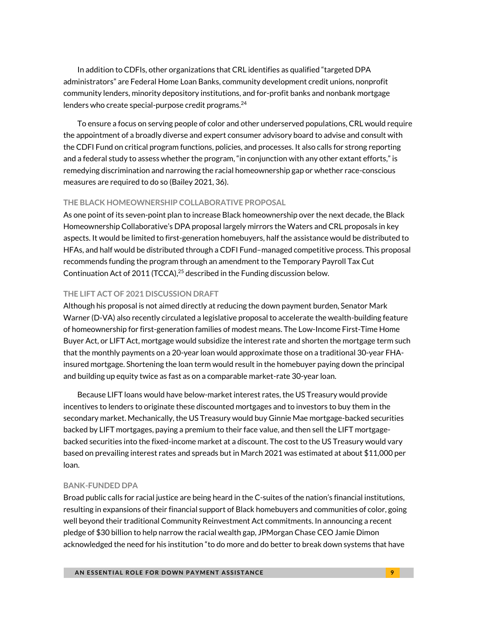In addition to CDFIs, other organizations that CRL identifies as qualified "targeted DPA administrators" are Federal Home Loan Banks, community development credit unions, nonprofit community lenders, minority depository institutions, and for-profit banks and nonbank mortgage lenders who create special-purpose credit programs. 24

To ensure a focus on serving people of color and other underserved populations, CRL would require the appointment of a broadly diverse and expert consumer advisory board to advise and consult with the CDFI Fund on critical program functions, policies, and processes. It also calls for strong reporting and a federal study to assess whether the program, "in conjunction with any other extant efforts," is remedying discrimination and narrowing the racial homeownership gap or whether race-conscious measures are required to do so (Bailey 2021, 36).

#### **THE BLACK HOMEOWNERSHIP COLLABORATIVE PROPOSAL**

As one point of its seven-point plan to increase Black homeownership over the next decade, the Black Homeownership Collaborative's DPA proposal largely mirrors the Waters and CRL proposals in key aspects. It would be limited to first-generation homebuyers, half the assistance would be distributed to HFAs, and half would be distributed through a CDFI Fund–managed competitive process. This proposal recommends funding the program through an amendment to the Temporary Payroll Tax Cut Continuation Act of 2011 (TCCA), <sup>25</sup> described in the Funding discussion below.

#### **THE LIFT ACT OF 2021 DISCUSSION DRAFT**

Although his proposal is not aimed directly at reducing the down payment burden, Senator Mark Warner (D-VA) also recently circulated a legislative proposal to accelerate the wealth-building feature of homeownership for first-generation families of modest means. The Low-Income First-Time Home Buyer Act, or LIFT Act, mortgage would subsidize the interest rate and shorten the mortgage term such that the monthly payments on a 20-year loan would approximate those on a traditional 30-year FHAinsured mortgage. Shortening the loan term would result in the homebuyer paying down the principal and building up equity twice as fast as on a comparable market-rate 30-year loan.

Because LIFT loans would have below-market interest rates, the US Treasury would provide incentives to lenders to originate these discounted mortgages and to investors to buy them in the secondary market. Mechanically, the US Treasury would buy Ginnie Mae mortgage-backed securities backed by LIFT mortgages, paying a premium to their face value, and then sell the LIFT mortgagebacked securities into the fixed-income market at a discount. The cost to the US Treasury would vary based on prevailing interest rates and spreads but in March 2021 was estimated at about \$11,000 per loan.

#### **BANK-FUNDED DPA**

Broad public calls for racial justice are being heard in the C-suites of the nation's financial institutions, resulting in expansions of their financial support of Black homebuyers and communities of color, going well beyond their traditional Community Reinvestment Act commitments. In announcing a recent pledge of \$30 billion to help narrow the racial wealth gap, JPMorgan Chase CEO Jamie Dimon acknowledged the need for his institution "to do more and do better to break down systems that have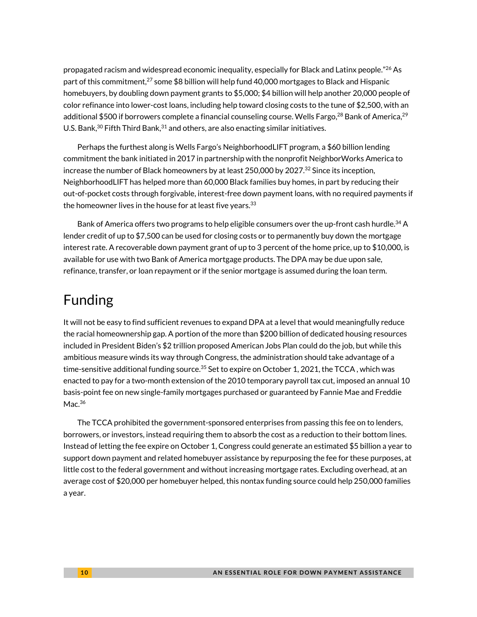propagated racism and widespread economic inequality, especially for Black and Latinx people."<sup>26</sup> As part of this commitment,<sup>27</sup> some \$8 billion will help fund 40,000 mortgages to Black and Hispanic homebuyers, by doubling down payment grants to \$5,000; \$4 billion will help another 20,000 people of color refinance into lower-cost loans, including help toward closing costs to the tune of \$2,500, with an additional \$500 if borrowers complete a financial counseling course. Wells Fargo, $^{28}$  Bank of America, $^{29}$ U.S. Bank, $^{30}$  Fifth Third Bank, $^{31}$  and others, are also enacting similar initiatives.

Perhaps the furthest along is Wells Fargo's NeighborhoodLIFT program, a \$60 billion lending commitment the bank initiated in 2017 in partnership with the nonprofit NeighborWorks America to increase the number of Black homeowners by at least 250,000 by 2027. $^{32}$  Since its inception, NeighborhoodLIFT has helped more than 60,000 Black families buy homes, in part by reducing their out-of-pocket costs through forgivable, interest-free down payment loans, with no required payments if the homeowner lives in the house for at least five years. $33$ 

Bank of America offers two programs to help eligible consumers over the up-front cash hurdle.<sup>34</sup> A lender credit of up to \$7,500 can be used for closing costs or to permanently buy down the mortgage interest rate. A recoverable down payment grant of up to 3 percent of the home price, up to \$10,000, is available for use with two Bank of America mortgage products. The DPA may be due upon sale, refinance, transfer, or loan repayment or if the senior mortgage is assumed during the loan term.

# Funding

It will not be easy to find sufficient revenues to expand DPA at a level that would meaningfully reduce the racial homeownership gap. A portion of the more than \$200 billion of dedicated housing resources included in President Biden's \$2 trillion proposed American Jobs Plan could do the job, but while this ambitious measure winds its way through Congress, the administration should take advantage of a time-sensitive additional funding source. $^{35}$  Set to expire on October 1, 2021, the TCCA , which was enacted to pay for a two-month extension of the 2010 temporary payroll tax cut, imposed an annual 10 basis-point fee on new single-family mortgages purchased or guaranteed by Fannie Mae and Freddie Mac.<sup>36</sup>

The TCCA prohibited the government-sponsored enterprises from passing this fee on to lenders, borrowers, or investors, instead requiring them to absorb the cost as a reduction to their bottom lines. Instead of letting the fee expire on October 1, Congress could generate an estimated \$5 billion a year to support down payment and related homebuyer assistance by repurposing the fee for these purposes, at little cost to the federal government and without increasing mortgage rates. Excluding overhead, at an average cost of \$20,000 per homebuyer helped, this nontax funding source could help 250,000 families a year.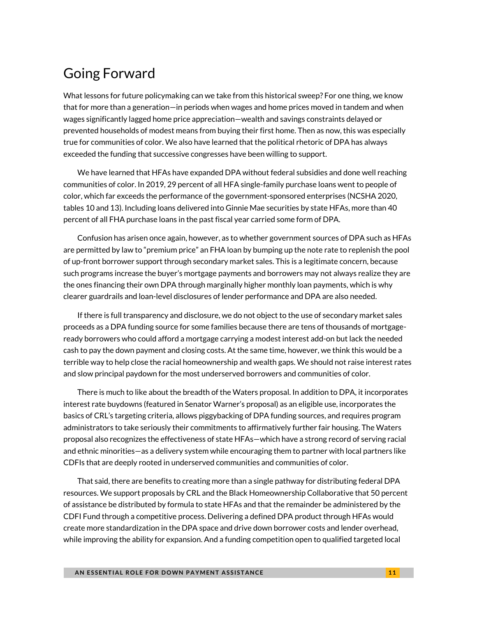# Going Forward

What lessons for future policymaking can we take from this historical sweep? For one thing, we know that for more than a generation—in periods when wages and home prices moved in tandem and when wages significantly lagged home price appreciation—wealth and savings constraints delayed or prevented households of modest means from buying their first home. Then as now, this was especially true for communities of color. We also have learned that the political rhetoric of DPA has always exceeded the funding that successive congresses have been willing to support.

We have learned that HFAs have expanded DPA without federal subsidies and done well reaching communities of color. In 2019, 29 percent of all HFA single-family purchase loans went to people of color, which far exceeds the performance of the government-sponsored enterprises (NCSHA 2020, tables 10 and 13). Including loans delivered into Ginnie Mae securities by state HFAs, more than 40 percent of all FHA purchase loans in the past fiscal year carried some form of DPA.

Confusion has arisen once again, however, as to whether government sources of DPA such as HFAs are permitted by law to "premium price" an FHA loan by bumping up the note rate to replenish the pool of up-front borrower support through secondary market sales. This is a legitimate concern, because such programs increase the buyer's mortgage payments and borrowers may not always realize they are the ones financing their own DPA through marginally higher monthly loan payments, which is why clearer guardrails and loan-level disclosures of lender performance and DPA are also needed.

If there is full transparency and disclosure, we do not object to the use of secondary market sales proceeds as a DPA funding source for some families because there are tens of thousands of mortgageready borrowers who could afford a mortgage carrying a modest interest add-on but lack the needed cash to pay the down payment and closing costs. At the same time, however, we think this would be a terrible way to help close the racial homeownership and wealth gaps. We should not raise interest rates and slow principal paydown for the most underserved borrowers and communities of color.

There is much to like about the breadth of the Waters proposal. In addition to DPA, it incorporates interest rate buydowns (featured in Senator Warner's proposal) as an eligible use, incorporates the basics of CRL's targeting criteria, allows piggybacking of DPA funding sources, and requires program administrators to take seriously their commitments to affirmatively further fair housing. The Waters proposal also recognizes the effectiveness of state HFAs—which have a strong record of serving racial and ethnic minorities—as a delivery system while encouraging them to partner with local partners like CDFIs that are deeply rooted in underserved communities and communities of color.

That said, there are benefits to creating more than a single pathway for distributing federal DPA resources. We support proposals by CRL and the Black Homeownership Collaborative that 50 percent of assistance be distributed by formula to state HFAs and that the remainder be administered by the CDFI Fund through a competitive process. Delivering a defined DPA product through HFAs would create more standardization in the DPA space and drive down borrower costs and lender overhead, while improving the ability for expansion. And a funding competition open to qualified targeted local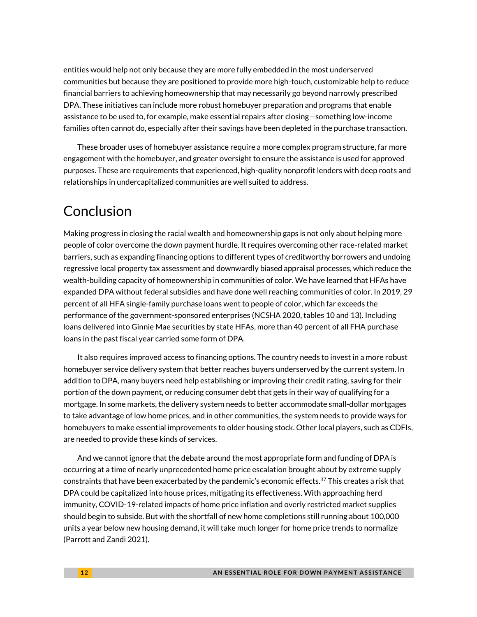entities would help not only because they are more fully embedded in the most underserved communities but because they are positioned to provide more high-touch, customizable help to reduce financial barriers to achieving homeownership that may necessarily go beyond narrowly prescribed DPA. These initiatives can include more robust homebuyer preparation and programs that enable assistance to be used to, for example, make essential repairs after closing—something low-income families often cannot do, especially after their savings have been depleted in the purchase transaction.

These broader uses of homebuyer assistance require a more complex program structure, far more engagement with the homebuyer, and greater oversight to ensure the assistance is used for approved purposes. These are requirements that experienced, high-quality nonprofit lenders with deep roots and relationships in undercapitalized communities are well suited to address.

# Conclusion

Making progress in closing the racial wealth and homeownership gaps is not only about helping more people of color overcome the down payment hurdle. It requires overcoming other race-related market barriers, such as expanding financing options to different types of creditworthy borrowers and undoing regressive local property tax assessment and downwardly biased appraisal processes, which reduce the wealth-building capacity of homeownership in communities of color. We have learned that HFAs have expanded DPA without federal subsidies and have done well reaching communities of color. In 2019, 29 percent of all HFA single-family purchase loans went to people of color, which far exceeds the performance of the government-sponsored enterprises (NCSHA 2020, tables 10 and 13). Including loans delivered into Ginnie Mae securities by state HFAs, more than 40 percent of all FHA purchase loans in the past fiscal year carried some form of DPA.

It also requires improved access to financing options. The country needs to invest in a more robust homebuyer service delivery system that better reaches buyers underserved by the current system. In addition to DPA, many buyers need help establishing or improving their credit rating, saving for their portion of the down payment, or reducing consumer debt that gets in their way of qualifying for a mortgage. In some markets, the delivery system needs to better accommodate small-dollar mortgages to take advantage of low home prices, and in other communities, the system needs to provide ways for homebuyers to make essential improvements to older housing stock. Other local players, such as CDFIs, are needed to provide these kinds of services.

And we cannot ignore that the debate around the most appropriate form and funding of DPA is occurring at a time of nearly unprecedented home price escalation brought about by extreme supply constraints that have been exacerbated by the pandemic's economic effects. $^{37}$  This creates a risk that DPA could be capitalized into house prices, mitigating its effectiveness. With approaching herd immunity, COVID-19-related impacts of home price inflation and overly restricted market supplies should begin to subside. But with the shortfall of new home completions still running about 100,000 units a year below new housing demand, it will take much longer for home price trends to normalize (Parrott and Zandi 2021).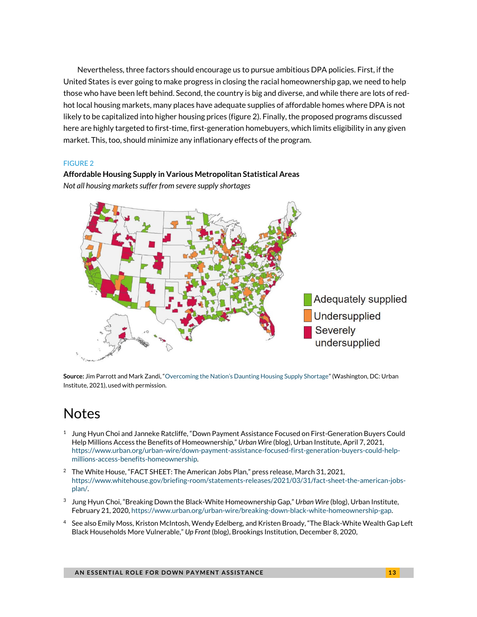Nevertheless, three factors should encourage us to pursue ambitious DPA policies. First, if the United States is ever going to make progress in closing the racial homeownership gap, we need to help those who have been left behind. Second, the country is big and diverse, and while there are lots of redhot local housing markets, many places have adequate supplies of affordable homes where DPA is not likely to be capitalized into higher housing prices (figure 2). Finally, the proposed programs discussed here are highly targeted to first-time, first-generation homebuyers, which limits eligibility in any given market. This, too, should minimize any inflationary effects of the program.

#### FIGURE 2

#### **Affordable Housing Supply in Various Metropolitan Statistical Areas** *Not all housing markets suffer from severe supply shortages*



**Source:** Jim Parrott and Mark Zandi, ["Overcoming the Nation's Daunting Housing Supply Shortage"](https://www.urban.org/sites/default/files/publication/103940/overcoming-the-nations-daunting-housing-supply-shortage.pdf) (Washington, DC: Urban Institute, 2021), used with permission.

### Notes

- 1 Jung Hyun Choi and Janneke Ratcliffe, "Down Payment Assistance Focused on First-Generation Buyers Could Help Millions Access the Benefits of Homeownership," *Urban Wire* (blog), Urban Institute, April 7, 2021, [https://www.urban.org/urban-wire/down-payment-assistance-focused-first-generation-buyers-could-help](about:blank)[millions-access-benefits-homeownership.](about:blank)
- <sup>2</sup> The White House, "FACT SHEET: The American Jobs Plan," press release, March 31, 2021, [https://www.whitehouse.gov/briefing-room/statements-releases/2021/03/31/fact-sheet-the-american-jobs](about:blank)[plan/.](about:blank)
- 3 Jung Hyun Choi, "Breaking Down the Black-White Homeownership Gap," *Urban Wire* (blog), Urban Institute, February 21, 2020[, https://www.urban.org/urban-wire/breaking-down-black-white-homeownership-gap.](about:blank)
- <sup>4</sup> See also Emily Moss, Kriston McIntosh, Wendy Edelberg, and Kristen Broady, "The Black-White Wealth Gap Left Black Households More Vulnerable," *Up Front* (blog), Brookings Institution, December 8, 2020,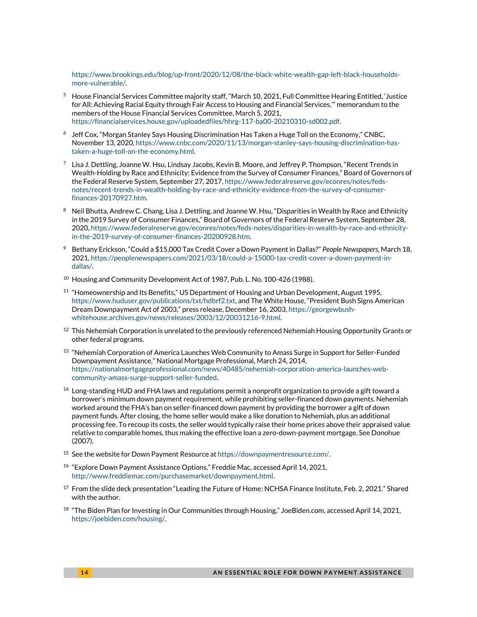[https://www.brookings.edu/blog/up-front/2020/12/08/the-black-white-wealth-gap-left-black-households](about:blank)[more-vulnerable/.](about:blank)

- <sup>5</sup> House Financial Services Committee majority staff, "March 10, 2021, Full Committee Hearing Entitled, 'Justice for All: Achieving Racial Equity through Fair Access to Housing and Financial Services,'" memorandum to the members of the House Financial Services Committee, March 5, 2021, [https://financialservices.house.gov/uploadedfiles/hhrg-117-ba00-20210310-sd002.pdf.](about:blank)
- $^6$  Jeff Cox, "Morgan Stanley Says Housing Discrimination Has Taken a Huge Toll on the Economy," CNBC, November 13, 2020[, https://www.cnbc.com/2020/11/13/morgan-stanley-says-housing-discrimination-has](about:blank)[taken-a-huge-toll-on-the-economy.html.](about:blank)
- $^7$  Lisa J. Dettling, Joanne W. Hsu, Lindsay Jacobs, Kevin B. Moore, and Jeffrey P. Thompson, "Recent Trends in Wealth-Holding by Race and Ethnicity: Evidence from the Survey of Consumer Finances," Board of Governors of the Federal Reserve System, September 27, 2017[, https://www.federalreserve.gov/econres/notes/feds](about:blank)[notes/recent-trends-in-wealth-holding-by-race-and-ethnicity-evidence-from-the-survey-of-consumer](about:blank)[finances-20170927.htm.](about:blank)
- <sup>8</sup> Neil Bhutta, Andrew C. Chang, Lisa J. Dettling, and Joanne W. Hsu, "Disparities in Wealth by Race and Ethnicity in the 2019 Survey of Consumer Finances," Board of Governors of the Federal Reserve System, September 28, 2020[, https://www.federalreserve.gov/econres/notes/feds-notes/disparities-in-wealth-by-race-and-ethnicity](about:blank)[in-the-2019-survey-of-consumer-finances-20200928.htm.](about:blank)
- <sup>9</sup> Bethany Erickson, "Could a \$15,000 Tax Credit Cover a Down Payment in Dallas?" *People Newspapers*, March 18, 2021[, https://peoplenewspapers.com/2021/03/18/could-a-15000-tax-credit-cover-a-down-payment-in](about:blank)[dallas/.](about:blank)
- <sup>10</sup> Housing and Community Development Act of 1987, Pub. L. No. 100-426 (1988).
- $11$  "Homeownership and Its Benefits," US Department of Housing and Urban Development, August 1995, [https://www.huduser.gov/publications/txt/hdbrf2.txt,](about:blank) and The White House, "President Bush Signs American Dream Downpayment Act of 2003," press release, December 16, 2003, [https://georgewbush](about:blank)[whitehouse.archives.gov/news/releases/2003/12/20031216-9.html.](about:blank)
- $12$  This Nehemiah Corporation is unrelated to the previously referenced Nehemiah Housing Opportunity Grants or other federal programs.
- $13$  "Nehemiah Corporation of America Launches Web Community to Amass Surge in Support for Seller-Funded Downpayment Assistance," National Mortgage Professional, March 24, 2014, [https://nationalmortgageprofessional.com/news/40485/nehemiah-corporation-america-launches-web](about:blank)[community-amass-surge-support-seller-funded.](about:blank)
- $14$  Long-standing HUD and FHA laws and regulations permit a nonprofit organization to provide a gift toward a borrower's minimum down payment requirement, while prohibiting seller-financed down payments. Nehemiah worked around the FHA's ban on seller-financed down payment by providing the borrower a gift of down payment funds. After closing, the home seller would make a like donation to Nehemiah, plus an additional processing fee. To recoup its costs, the seller would typically raise their home prices above their appraised value relative to comparable homes, thus making the effective loan a zero-down-payment mortgage. See Donohue (2007).
- <sup>15</sup> See the website for Down Payment Resource a[t https://downpaymentresource.com/.](about:blank)
- <sup>16</sup> "Explore Down Payment Assistance Options," Freddie Mac, accessed April 14, 2021, [http://www.freddiemac.com/purchasemarket/downpayment.html.](about:blank)
- <sup>17</sup> From the slide deck presentation "Leading the Future of Home: NCHSA Finance Institute, Feb. 2, 2021." Shared with the author.
- $18$  "The Biden Plan for Investing in Our Communities through Housing," JoeBiden.com, accessed April 14, 2021, [https://joebiden.com/housing/.](about:blank)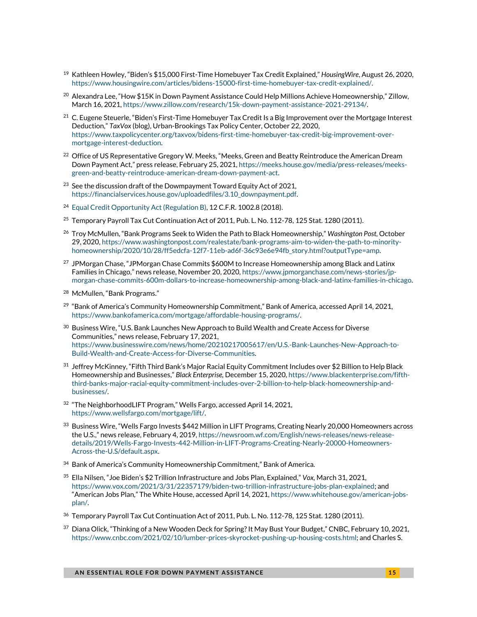- <sup>19</sup> Kathleen Howley, "Biden's \$15,000 First-Time Homebuyer Tax Credit Explained," *HousingWire*, August 26, 2020, [https://www.housingwire.com/articles/bidens-15000-first-time-homebuyer-tax-credit-explained/.](about:blank)
- <sup>20</sup> Alexandra Lee, "How \$15K in Down Payment Assistance Could Help Millions Achieve Homeownership," Zillow, March 16, 2021[, https://www.zillow.com/research/15k-down-payment-assistance-2021-29134/.](about:blank)
- $^{21}$  C. Eugene Steuerle, "Biden's First-Time Homebuyer Tax Credit Is a Big Improvement over the Mortgage Interest Deduction," *TaxVox* (blog), Urban-Brookings Tax Policy Center, October 22, 2020, [https://www.taxpolicycenter.org/taxvox/bidens-first-time-homebuyer-tax-credit-big-improvement-over](about:blank)[mortgage-interest-deduction.](about:blank)
- $22$  Office of US Representative Gregory W. Meeks, "Meeks, Green and Beatty Reintroduce the American Dream Down Payment Act," press release, February 25, 2021, [https://meeks.house.gov/media/press-releases/meeks](about:blank)[green-and-beatty-reintroduce-american-dream-down-payment-act.](about:blank)
- $23$  See the discussion draft of the Dowmpayment Toward Equity Act of 2021, [https://financialservices.house.gov/uploadedfiles/3.10\\_downpayment.pdf.](about:blank)
- <sup>24</sup> [Equal Credit Opportunity Act \(Regulation B\),](about:blank) 12 C.F.R. 1002.8 (2018).
- <sup>25</sup> Temporary Payroll Tax Cut Continuation Act of 2011, Pub. L. No. 112-78, 125 Stat. 1280 (2011).
- <sup>26</sup> Troy McMullen, "Bank Programs Seek to Widen the Path to Black Homeownership," *Washington Post,* October 29, 2020[, https://www.washingtonpost.com/realestate/bank-programs-aim-to-widen-the-path-to-minority](about:blank)[homeownership/2020/10/28/ff5edcfa-12f7-11eb-ad6f-36c93e6e94fb\\_story.html?outputType=amp.](about:blank)
- $^{27}$  JPMorgan Chase, "JPMorgan Chase Commits \$600M to Increase Homeownership among Black and Latinx Families in Chicago," news release, November 20, 2020, [https://www.jpmorganchase.com/news-stories/jp](about:blank)[morgan-chase-commits-600m-dollars-to-increase-homeownership-among-black-and-latinx-families-in-chicago.](about:blank)
- <sup>28</sup> McMullen, "Bank Programs."
- <sup>29</sup> "Bank of America's Community Homeownership Commitment," Bank of America, accessed April 14, 2021, [https://www.bankofamerica.com/mortgage/affordable-housing-programs/.](about:blank)
- $^{30}$  Business Wire, "U.S. Bank Launches New Approach to Build Wealth and Create Access for Diverse Communities," news release, February 17, 2021, [https://www.businesswire.com/news/home/20210217005617/en/U.S.-Bank-Launches-New-Approach-to-](about:blank)[Build-Wealth-and-Create-Access-for-Diverse-Communities.](about:blank)
- $^{31}$  Jeffrey McKinney, "Fifth Third Bank's Major Racial Equity Commitment Includes over \$2 Billion to Help Black Homeownership and Businesses," *Black Enterprise,* December 15, 2020[, https://www.blackenterprise.com/fifth](about:blank)[third-banks-major-racial-equity-commitment-includes-over-2-billion-to-help-black-homeownership-and](about:blank)[businesses/.](about:blank)
- <sup>32</sup> "The NeighborhoodLIFT Program," Wells Fargo, accessed April 14, 2021, [https://www.wellsfargo.com/mortgage/lift/.](about:blank)
- $33\,$  Business Wire, "Wells Fargo Invests \$442 Million in LIFT Programs, Creating Nearly 20,000 Homeowners across the U.S.," news release, February 4, 2019, [https://newsroom.wf.com/English/news-releases/news-release](about:blank)[details/2019/Wells-Fargo-Invests-442-Million-in-LIFT-Programs-Creating-Nearly-20000-Homeowners-](about:blank)[Across-the-U.S/default.aspx.](about:blank)
- <sup>34</sup> Bank of America's Community Homeownership Commitment," Bank of America.
- <sup>35</sup> Ella Nilsen, "Joe Biden's \$2 Trillion Infrastructure and Jobs Plan, Explained," *Vox,* March 31, 2021, [https://www.vox.com/2021/3/31/22357179/biden-two-trillion-infrastructure-jobs-plan-explained;](about:blank) and "American Jobs Plan," The White House, accessed April 14, 2021[, https://www.whitehouse.gov/american-jobs](about:blank)[plan/.](about:blank)
- <sup>36</sup> Temporary Payroll Tax Cut Continuation Act of 2011, Pub. L. No. 112-78, 125 Stat. 1280 (2011).
- $37$  Diana Olick, "Thinking of a New Wooden Deck for Spring? It May Bust Your Budget," CNBC, February 10, 2021, [https://www.cnbc.com/2021/02/10/lumber-prices-skyrocket-pushing-up-housing-costs.html;](about:blank) and Charles S.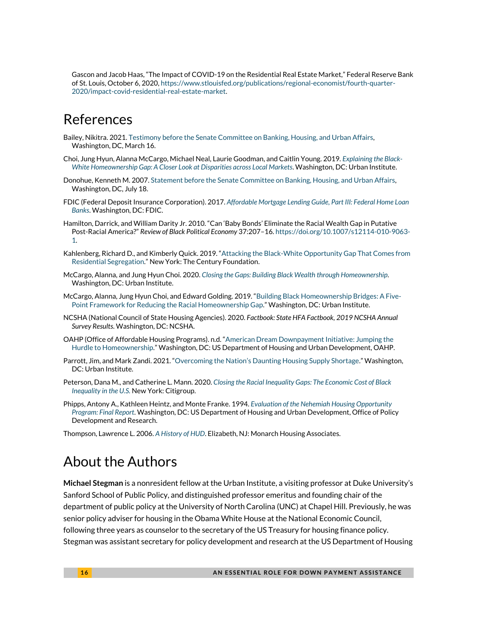Gascon and Jacob Haas, "The Impact of COVID-19 on the Residential Real Estate Market," Federal Reserve Bank of St. Louis, October 6, 2020[, https://www.stlouisfed.org/publications/regional-economist/fourth-quarter-](about:blank)[2020/impact-covid-residential-real-estate-market.](about:blank) 

### References

- Bailey, Nikitra. 2021[. Testimony before the Senate Committee on Banking, Housing, and Urban Affairs,](about:blank)  Washington, DC, March 16.
- Choi, Jung Hyun, Alanna McCargo, Michael Neal, Laurie Goodman, and Caitlin Young. 2019. *[Explaining](about:blank) the Black-[White Homeownership Gap: A Closer Look at Disparities across Local Markets](about:blank)*. Washington, DC: Urban Institute.
- Donohue, Kenneth M. 2007[. Statement before the Senate Committee on Banking, Housing, and Urban Affairs,](about:blank)  Washington, DC, July 18.
- FDIC (Federal Deposit Insurance Corporation). 2017. *[Affordable Mortgage Lending Guide, Part III: Federal Home Loan](about:blank)  [Banks](about:blank)*. Washington, DC: FDIC.
- Hamilton, Darrick, and William Darity Jr. 2010. "Can 'Baby Bonds' Eliminate the Racial Wealth Gap in Putative Post-Racial America?" *Review of Black Political Economy* 37:207–16[. https://doi.org/10.1007/s12114-010-9063-](about:blank) [1.](about:blank)
- Kahlenberg, Richard D., and Kimberly Quick. 2019. "[Attacking the Black-White Opportunity Gap That Comes from](about:blank)  [Residential Segregation](about:blank)." New York: The Century Foundation.
- McCargo, Alanna, and Jung Hyun Choi. 2020. *[Closing the Gaps: Building Black Wealth through Homeownership](about:blank)*. Washington, DC: Urban Institute.
- McCargo, Alanna, Jung Hyun Choi, and Edward Golding. 2019. "[Building Black Homeownership Bridges: A Five-](about:blank)[Point Framework for Reducing the Racial Homeownership Gap](about:blank)." Washington, DC: Urban Institute.
- NCSHA (National Council of State Housing Agencies). 2020. *Factbook: State HFA Factbook, 2019 NCSHA Annual Survey Results*. Washington, DC: NCSHA.
- OAHP (Office of Affordable Housing Programs). n.d. "[American Dream Downpayment Initiative: Jumping the](about:blank)  [Hurdle to Homeownership](about:blank)." Washington, DC: US Department of Housing and Urban Development, OAHP.
- Parrott, Jim, and Mark Zandi. 2021. ["Overcoming the Nation's Daunting Housing Supply Shortage.](about:blank)" Washington, DC: Urban Institute.
- Peterson, Dana M., and Catherine L. Mann. 2020. *[Closing the Racial Inequality Gaps: The Economic Cost of Black](about:blank)  [Inequality in the U.S.](about:blank)* New York: Citigroup.
- Phipps, Antony A., Kathleen Heintz, and Monte Franke. 1994. *[Evaluation of the Nehemiah Housing Opportunity](about:blank)  [Program: Final Report](about:blank)*. Washington, DC: US Department of Housing and Urban Development, Office of Policy Development and Research.
- Thompson, Lawrence L. 2006. *[A History of HUD](about:blank)*. Elizabeth, NJ: Monarch Housing Associates.

## About the Authors

**Michael Stegman** is a nonresident fellow at the Urban Institute, a visiting professor at Duke University's Sanford School of Public Policy, and distinguished professor emeritus and founding chair of the department of public policy at the University of North Carolina (UNC) at Chapel Hill. Previously, he was senior policy adviser for housing in the Obama White House at the National Economic Council, following three years as counselor to the secretary of the US Treasury for housing finance policy. Stegman was assistant secretary for policy development and research at the US Department of Housing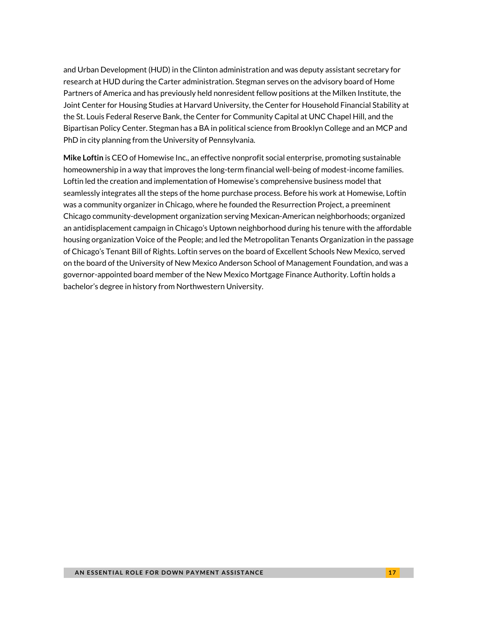and Urban Development (HUD) in the Clinton administration and was deputy assistant secretary for research at HUD during the Carter administration. Stegman serves on the advisory board of Home Partners of America and has previously held nonresident fellow positions at the Milken Institute, the Joint Center for Housing Studies at Harvard University, the Center for Household Financial Stability at the St. Louis Federal Reserve Bank, the Center for Community Capital at UNC Chapel Hill, and the Bipartisan Policy Center. Stegman has a BA in political science from Brooklyn College and an MCP and PhD in city planning from the University of Pennsylvania.

**Mike Loftin** is CEO of Homewise Inc., an effective nonprofit social enterprise, promoting sustainable homeownership in a way that improves the long-term financial well-being of modest-income families. Loftin led the creation and implementation of Homewise's comprehensive business model that seamlessly integrates all the steps of the home purchase process. Before his work at Homewise, Loftin was a community organizer in Chicago, where he founded the Resurrection Project, a preeminent Chicago community-development organization serving Mexican-American neighborhoods; organized an antidisplacement campaign in Chicago's Uptown neighborhood during his tenure with the affordable housing organization Voice of the People; and led the Metropolitan Tenants Organization in the passage of Chicago's Tenant Bill of Rights. Loftin serves on the board of Excellent Schools New Mexico, served on the board of the University of New Mexico Anderson School of Management Foundation, and was a governor-appointed board member of the New Mexico Mortgage Finance Authority. Loftin holds a bachelor's degree in history from Northwestern University.